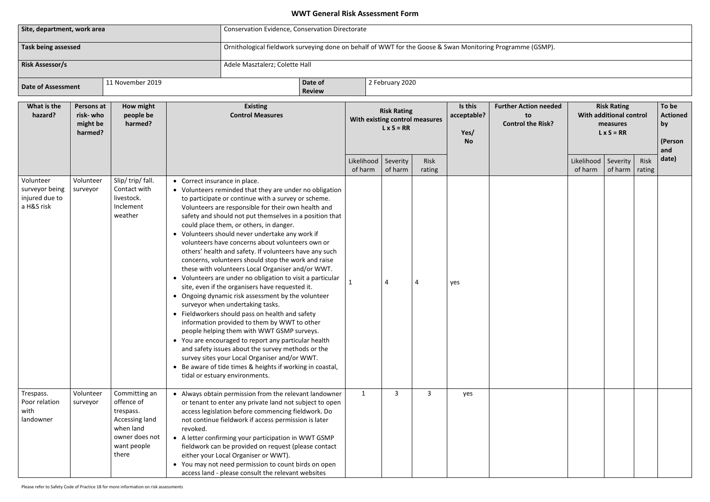# **WWT General Risk Assessment Form**

| Site, department, work area                                 |                                               |                                                                                                                   | <b>Conservation Evidence, Conservation Directorate</b>                                                                                                                                                                                                                                                                                                                                                                                                                                                                                                                                                                                                                                                                                                                                                                                                                                                                                                                                                                                                                                                                                                                                                         |                                                                                                                                                                                                                                                                                                                                                                                                                                                                                                       |                                                                                                            |                       |                                                                           |                |                                             |                                                                |                                                                                |                                    |      |                                      |  |  |
|-------------------------------------------------------------|-----------------------------------------------|-------------------------------------------------------------------------------------------------------------------|----------------------------------------------------------------------------------------------------------------------------------------------------------------------------------------------------------------------------------------------------------------------------------------------------------------------------------------------------------------------------------------------------------------------------------------------------------------------------------------------------------------------------------------------------------------------------------------------------------------------------------------------------------------------------------------------------------------------------------------------------------------------------------------------------------------------------------------------------------------------------------------------------------------------------------------------------------------------------------------------------------------------------------------------------------------------------------------------------------------------------------------------------------------------------------------------------------------|-------------------------------------------------------------------------------------------------------------------------------------------------------------------------------------------------------------------------------------------------------------------------------------------------------------------------------------------------------------------------------------------------------------------------------------------------------------------------------------------------------|------------------------------------------------------------------------------------------------------------|-----------------------|---------------------------------------------------------------------------|----------------|---------------------------------------------|----------------------------------------------------------------|--------------------------------------------------------------------------------|------------------------------------|------|--------------------------------------|--|--|
| <b>Task being assessed</b><br><b>Risk Assessor/s</b>        |                                               |                                                                                                                   |                                                                                                                                                                                                                                                                                                                                                                                                                                                                                                                                                                                                                                                                                                                                                                                                                                                                                                                                                                                                                                                                                                                                                                                                                |                                                                                                                                                                                                                                                                                                                                                                                                                                                                                                       | Ornithological fieldwork surveying done on behalf of WWT for the Goose & Swan Monitoring Programme (GSMP). |                       |                                                                           |                |                                             |                                                                |                                                                                |                                    |      |                                      |  |  |
|                                                             |                                               |                                                                                                                   |                                                                                                                                                                                                                                                                                                                                                                                                                                                                                                                                                                                                                                                                                                                                                                                                                                                                                                                                                                                                                                                                                                                                                                                                                | Adele Masztalerz; Colette Hall                                                                                                                                                                                                                                                                                                                                                                                                                                                                        |                                                                                                            |                       |                                                                           |                |                                             |                                                                |                                                                                |                                    |      |                                      |  |  |
| <b>Date of Assessment</b>                                   |                                               | 11 November 2019                                                                                                  |                                                                                                                                                                                                                                                                                                                                                                                                                                                                                                                                                                                                                                                                                                                                                                                                                                                                                                                                                                                                                                                                                                                                                                                                                |                                                                                                                                                                                                                                                                                                                                                                                                                                                                                                       | Date of<br><b>Review</b>                                                                                   |                       | 2 February 2020                                                           |                |                                             |                                                                |                                                                                |                                    |      |                                      |  |  |
| What is the<br>hazard?                                      | Persons at<br>risk-who<br>might be<br>harmed? | How might<br>people be<br>harmed?                                                                                 |                                                                                                                                                                                                                                                                                                                                                                                                                                                                                                                                                                                                                                                                                                                                                                                                                                                                                                                                                                                                                                                                                                                                                                                                                | <b>Existing</b><br><b>Control Measures</b>                                                                                                                                                                                                                                                                                                                                                                                                                                                            |                                                                                                            |                       | <b>Risk Rating</b><br>With existing control measures<br>$L \times S = RR$ |                | Is this<br>acceptable?<br>Yes/<br><b>No</b> | <b>Further Action needed</b><br>to<br><b>Control the Risk?</b> | <b>Risk Rating</b><br>With additional control<br>measures<br>$L \times S = RR$ |                                    |      | To be<br><b>Actio</b><br>by<br>(Pers |  |  |
|                                                             |                                               |                                                                                                                   |                                                                                                                                                                                                                                                                                                                                                                                                                                                                                                                                                                                                                                                                                                                                                                                                                                                                                                                                                                                                                                                                                                                                                                                                                |                                                                                                                                                                                                                                                                                                                                                                                                                                                                                                       |                                                                                                            | Likelihood<br>of harm | Severity<br>of harm                                                       | Risk<br>rating |                                             |                                                                | Likelihood<br>of harm                                                          | Severity<br>of harm $\vert$ rating | Risk | and<br>date)                         |  |  |
| Volunteer<br>surveyor being<br>injured due to<br>a H&S risk | Volunteer<br>surveyor                         | Slip/trip/fall.<br>Contact with<br>livestock.<br>Inclement<br>weather                                             | • Correct insurance in place.<br>• Volunteers reminded that they are under no obligation<br>to participate or continue with a survey or scheme.<br>Volunteers are responsible for their own health and<br>safety and should not put themselves in a position that<br>could place them, or others, in danger.<br>• Volunteers should never undertake any work if<br>volunteers have concerns about volunteers own or<br>others' health and safety. If volunteers have any such<br>concerns, volunteers should stop the work and raise<br>these with volunteers Local Organiser and/or WWT.<br>Volunteers are under no obligation to visit a particular<br>site, even if the organisers have requested it.<br>• Ongoing dynamic risk assessment by the volunteer<br>surveyor when undertaking tasks.<br>• Fieldworkers should pass on health and safety<br>information provided to them by WWT to other<br>people helping them with WWT GSMP surveys.<br>• You are encouraged to report any particular health<br>and safety issues about the survey methods or the<br>survey sites your Local Organiser and/or WWT.<br>Be aware of tide times & heights if working in coastal,<br>tidal or estuary environments. |                                                                                                                                                                                                                                                                                                                                                                                                                                                                                                       |                                                                                                            |                       |                                                                           |                | yes                                         |                                                                |                                                                                |                                    |      |                                      |  |  |
| Trespass.<br>Poor relation<br>with<br>landowner             | Volunteer<br>surveyor                         | Committing an<br>offence of<br>trespass.<br>Accessing land<br>when land<br>owner does not<br>want people<br>there | revoked.                                                                                                                                                                                                                                                                                                                                                                                                                                                                                                                                                                                                                                                                                                                                                                                                                                                                                                                                                                                                                                                                                                                                                                                                       | • Always obtain permission from the relevant landowner<br>or tenant to enter any private land not subject to open<br>access legislation before commencing fieldwork. Do<br>not continue fieldwork if access permission is later<br>• A letter confirming your participation in WWT GSMP<br>fieldwork can be provided on request (please contact<br>either your Local Organiser or WWT).<br>• You may not need permission to count birds on open<br>access land - please consult the relevant websites |                                                                                                            | 1                     | $\mathbf{3}$                                                              | 3              | yes                                         |                                                                |                                                                                |                                    |      |                                      |  |  |

| า needed<br>Risk? | To be<br><b>Risk Rating</b><br>With additional control<br><b>Actioned</b><br>by<br>measures<br>$L \times S = RR$<br>(Person<br>and |                     |                |       |  |  |  |
|-------------------|------------------------------------------------------------------------------------------------------------------------------------|---------------------|----------------|-------|--|--|--|
|                   | Likelihood<br>of harm                                                                                                              | Severity<br>of harm | Risk<br>rating | date) |  |  |  |
|                   |                                                                                                                                    |                     |                |       |  |  |  |
|                   |                                                                                                                                    |                     |                |       |  |  |  |
|                   |                                                                                                                                    |                     |                |       |  |  |  |
|                   |                                                                                                                                    |                     |                |       |  |  |  |
|                   |                                                                                                                                    |                     |                |       |  |  |  |
|                   |                                                                                                                                    |                     |                |       |  |  |  |
|                   |                                                                                                                                    |                     |                |       |  |  |  |
|                   |                                                                                                                                    |                     |                |       |  |  |  |
|                   |                                                                                                                                    |                     |                |       |  |  |  |
|                   |                                                                                                                                    |                     |                |       |  |  |  |
|                   |                                                                                                                                    |                     |                |       |  |  |  |
|                   |                                                                                                                                    |                     |                |       |  |  |  |
|                   |                                                                                                                                    |                     |                |       |  |  |  |
|                   |                                                                                                                                    |                     |                |       |  |  |  |
|                   |                                                                                                                                    |                     |                |       |  |  |  |
|                   |                                                                                                                                    |                     |                |       |  |  |  |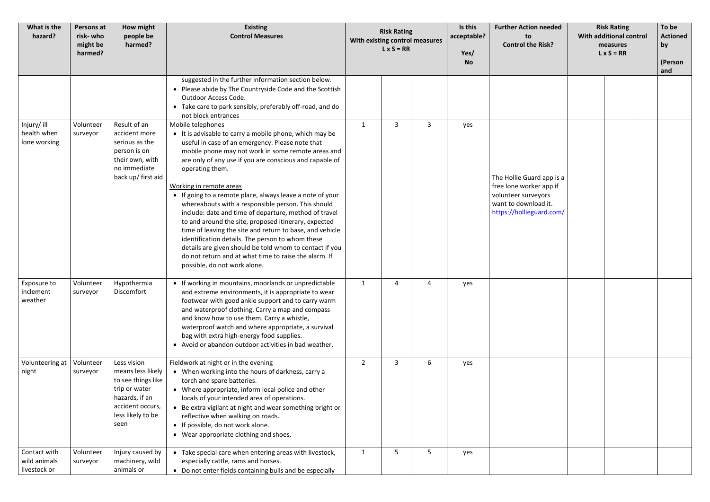| What is the<br>hazard?                       | Persons at<br>risk- who<br>might be<br>harmed? | How might<br>people be<br>harmed?                                                                                                          | <b>Existing</b><br><b>Control Measures</b>                                                                                                                                                                                                                                                                                                                                                                                                                                                                                                                                                                                                                                                                                                                                                              |                | <b>Risk Rating</b><br>With existing control measures<br>$L \times S = RR$ |                | Is this<br>acceptable?<br>Yes/<br><b>No</b> | <b>Further Action needed</b><br>to<br><b>Control the Risk?</b>                                                                  | <b>Risk Rating</b><br>With additional control<br>measures<br>$L \times S = RR$ |  | To be<br><b>Actioned</b><br>by<br>(Person<br>and |
|----------------------------------------------|------------------------------------------------|--------------------------------------------------------------------------------------------------------------------------------------------|---------------------------------------------------------------------------------------------------------------------------------------------------------------------------------------------------------------------------------------------------------------------------------------------------------------------------------------------------------------------------------------------------------------------------------------------------------------------------------------------------------------------------------------------------------------------------------------------------------------------------------------------------------------------------------------------------------------------------------------------------------------------------------------------------------|----------------|---------------------------------------------------------------------------|----------------|---------------------------------------------|---------------------------------------------------------------------------------------------------------------------------------|--------------------------------------------------------------------------------|--|--------------------------------------------------|
|                                              |                                                |                                                                                                                                            | suggested in the further information section below.<br>• Please abide by The Countryside Code and the Scottish<br>Outdoor Access Code.<br>• Take care to park sensibly, preferably off-road, and do<br>not block entrances                                                                                                                                                                                                                                                                                                                                                                                                                                                                                                                                                                              |                |                                                                           |                |                                             |                                                                                                                                 |                                                                                |  |                                                  |
| Injury/ ill<br>health when<br>lone working   | Volunteer<br>surveyor                          | Result of an<br>accident more<br>serious as the<br>person is on<br>their own, with<br>no immediate<br>back up/ first aid                   | Mobile telephones<br>• It is advisable to carry a mobile phone, which may be<br>useful in case of an emergency. Please note that<br>mobile phone may not work in some remote areas and<br>are only of any use if you are conscious and capable of<br>operating them.<br>Working in remote areas<br>• If going to a remote place, always leave a note of your<br>whereabouts with a responsible person. This should<br>include: date and time of departure, method of travel<br>to and around the site, proposed itinerary, expected<br>time of leaving the site and return to base, and vehicle<br>identification details. The person to whom these<br>details are given should be told whom to contact if you<br>do not return and at what time to raise the alarm. If<br>possible, do not work alone. | $\mathbf{1}$   | 3                                                                         | $\overline{3}$ | yes                                         | The Hollie Guard app is a<br>free lone worker app if<br>volunteer surveyors<br>want to download it.<br>https://hollieguard.com/ |                                                                                |  |                                                  |
| Exposure to<br>inclement<br>weather          | Volunteer<br>surveyor                          | Hypothermia<br>Discomfort                                                                                                                  | • If working in mountains, moorlands or unpredictable<br>and extreme environments, it is appropriate to wear<br>footwear with good ankle support and to carry warm<br>and waterproof clothing. Carry a map and compass<br>and know how to use them. Carry a whistle,<br>waterproof watch and where appropriate, a survival<br>bag with extra high-energy food supplies.<br>• Avoid or abandon outdoor activities in bad weather.                                                                                                                                                                                                                                                                                                                                                                        | $\mathbf{1}$   | 4                                                                         |                | yes                                         |                                                                                                                                 |                                                                                |  |                                                  |
| Volunteering at<br>night                     | Volunteer<br>surveyor                          | Less vision<br>means less likely<br>to see things like<br>trip or water<br>hazards, if an<br>accident occurs,<br>less likely to be<br>seen | Fieldwork at night or in the evening<br>• When working into the hours of darkness, carry a<br>torch and spare batteries.<br>• Where appropriate, inform local police and other<br>locals of your intended area of operations.<br>• Be extra vigilant at night and wear something bright or<br>reflective when walking on roads.<br>• If possible, do not work alone.<br>• Wear appropriate clothing and shoes.                                                                                                                                                                                                                                                                                                                                                                                          | $\overline{2}$ | 3                                                                         | 6              | yes                                         |                                                                                                                                 |                                                                                |  |                                                  |
| Contact with<br>wild animals<br>livestock or | Volunteer<br>surveyor                          | Injury caused by<br>machinery, wild<br>animals or                                                                                          | Take special care when entering areas with livestock,<br>especially cattle, rams and horses.<br>• Do not enter fields containing bulls and be especially                                                                                                                                                                                                                                                                                                                                                                                                                                                                                                                                                                                                                                                | $\mathbf{1}$   | 5 <sup>1</sup>                                                            | 5              | yes                                         |                                                                                                                                 |                                                                                |  |                                                  |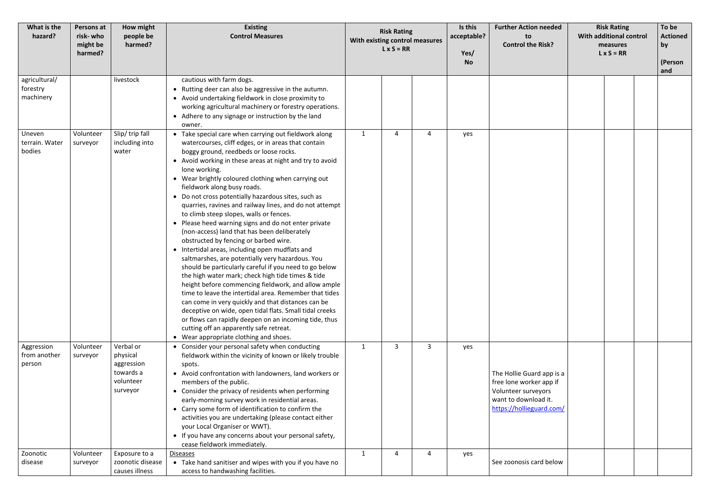| What is the<br>hazard?                 | Persons at<br>risk- who<br>might be<br>harmed? | How might<br>people be<br>harmed?                                         | <b>Existing</b><br><b>Control Measures</b>                                                                                                                                                                                                                                                                                                                                                                                                                                                                                                                                                                                                                                                                                                                                                                                                                                                                                                                                                                                                                                                                                                                                                                                                    | <b>Risk Rating</b><br>With existing control measures<br>$L \times S = RR$ | Is this<br>acceptable?<br>Yes/<br><b>No</b> | <b>Further Action needed</b><br>to<br><b>Control the Risk?</b>                                                                  | <b>Risk Rating</b><br>With additional control<br>measures<br>$L \times S = RR$ |  |  | To be<br><b>Actioned</b><br>$ $ by<br>(Person<br>and |
|----------------------------------------|------------------------------------------------|---------------------------------------------------------------------------|-----------------------------------------------------------------------------------------------------------------------------------------------------------------------------------------------------------------------------------------------------------------------------------------------------------------------------------------------------------------------------------------------------------------------------------------------------------------------------------------------------------------------------------------------------------------------------------------------------------------------------------------------------------------------------------------------------------------------------------------------------------------------------------------------------------------------------------------------------------------------------------------------------------------------------------------------------------------------------------------------------------------------------------------------------------------------------------------------------------------------------------------------------------------------------------------------------------------------------------------------|---------------------------------------------------------------------------|---------------------------------------------|---------------------------------------------------------------------------------------------------------------------------------|--------------------------------------------------------------------------------|--|--|------------------------------------------------------|
| agricultural/<br>forestry<br>machinery |                                                | livestock                                                                 | cautious with farm dogs.<br>• Rutting deer can also be aggressive in the autumn.<br>• Avoid undertaking fieldwork in close proximity to<br>working agricultural machinery or forestry operations.<br>• Adhere to any signage or instruction by the land<br>owner.                                                                                                                                                                                                                                                                                                                                                                                                                                                                                                                                                                                                                                                                                                                                                                                                                                                                                                                                                                             |                                                                           |                                             |                                                                                                                                 |                                                                                |  |  |                                                      |
| Uneven<br>terrain. Water<br>bodies     | Volunteer<br>surveyor                          | Slip/trip fall<br>including into<br>water                                 | • Take special care when carrying out fieldwork along<br>watercourses, cliff edges, or in areas that contain<br>boggy ground, reedbeds or loose rocks.<br>• Avoid working in these areas at night and try to avoid<br>lone working.<br>• Wear brightly coloured clothing when carrying out<br>fieldwork along busy roads.<br>• Do not cross potentially hazardous sites, such as<br>quarries, ravines and railway lines, and do not attempt<br>to climb steep slopes, walls or fences.<br>• Please heed warning signs and do not enter private<br>(non-access) land that has been deliberately<br>obstructed by fencing or barbed wire.<br>• Intertidal areas, including open mudflats and<br>saltmarshes, are potentially very hazardous. You<br>should be particularly careful if you need to go below<br>the high water mark; check high tide times & tide<br>height before commencing fieldwork, and allow ample<br>time to leave the intertidal area. Remember that tides<br>can come in very quickly and that distances can be<br>deceptive on wide, open tidal flats. Small tidal creeks<br>or flows can rapidly deepen on an incoming tide, thus<br>cutting off an apparently safe retreat.<br>• Wear appropriate clothing and shoes. | $\mathbf{1}$<br>$\overline{4}$<br>$\overline{4}$                          | yes                                         |                                                                                                                                 |                                                                                |  |  |                                                      |
| Aggression<br>from another<br>person   | Volunteer<br>surveyor                          | Verbal or<br>physical<br>aggression<br>towards a<br>volunteer<br>surveyor | • Consider your personal safety when conducting<br>fieldwork within the vicinity of known or likely trouble<br>spots.<br>• Avoid confrontation with landowners, land workers or<br>members of the public.<br>• Consider the privacy of residents when performing<br>early-morning survey work in residential areas.<br>• Carry some form of identification to confirm the<br>activities you are undertaking (please contact either<br>your Local Organiser or WWT).<br>• If you have any concerns about your personal safety,<br>cease fieldwork immediately.                                                                                                                                                                                                                                                                                                                                                                                                                                                                                                                                                                                                                                                                                 | 3<br>3<br>1                                                               | yes                                         | The Hollie Guard app is a<br>free lone worker app if<br>Volunteer surveyors<br>want to download it.<br>https://hollieguard.com/ |                                                                                |  |  |                                                      |
| Zoonotic<br>disease                    | Volunteer<br>surveyor                          | Exposure to a<br>zoonotic disease<br>causes illness                       | <b>Diseases</b><br>• Take hand sanitiser and wipes with you if you have no<br>access to handwashing facilities.                                                                                                                                                                                                                                                                                                                                                                                                                                                                                                                                                                                                                                                                                                                                                                                                                                                                                                                                                                                                                                                                                                                               | $\mathbf{1}$<br>Δ<br>Δ                                                    | yes                                         | See zoonosis card below                                                                                                         |                                                                                |  |  |                                                      |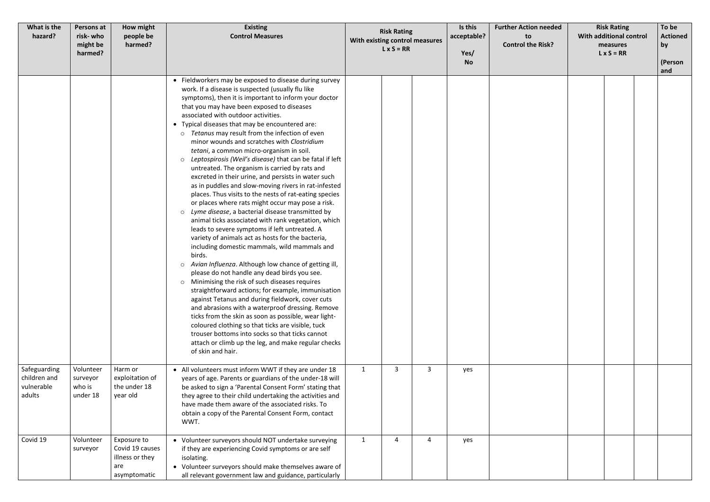| What is the<br>hazard?                               | Persons at<br>risk- who<br>might be<br>harmed? | How might<br>people be<br>harmed?                                        | <b>Existing</b><br><b>Control Measures</b>                                                                                                                                                                                                                                                                                                                                                                                                                                                                                                                                                                                                                                                                                                                                                                                                                                                                                                                                                                                                                                                                                                                                                                                                                                                                                                                                                                                                                                                                                                                                                                                                                                                       | <b>Risk Rating</b><br>With existing control measures<br>$L \times S = RR$ |   | Is this<br>acceptable?<br>Yes/<br><b>No</b> | <b>Further Action needed</b><br>to<br><b>Control the Risk?</b> | <b>Risk Rating</b><br>With additional control<br>measures<br>$L \times S = RR$ | To be<br><b>Actioned</b><br>by<br>(Person<br>and |
|------------------------------------------------------|------------------------------------------------|--------------------------------------------------------------------------|--------------------------------------------------------------------------------------------------------------------------------------------------------------------------------------------------------------------------------------------------------------------------------------------------------------------------------------------------------------------------------------------------------------------------------------------------------------------------------------------------------------------------------------------------------------------------------------------------------------------------------------------------------------------------------------------------------------------------------------------------------------------------------------------------------------------------------------------------------------------------------------------------------------------------------------------------------------------------------------------------------------------------------------------------------------------------------------------------------------------------------------------------------------------------------------------------------------------------------------------------------------------------------------------------------------------------------------------------------------------------------------------------------------------------------------------------------------------------------------------------------------------------------------------------------------------------------------------------------------------------------------------------------------------------------------------------|---------------------------------------------------------------------------|---|---------------------------------------------|----------------------------------------------------------------|--------------------------------------------------------------------------------|--------------------------------------------------|
|                                                      |                                                |                                                                          | • Fieldworkers may be exposed to disease during survey<br>work. If a disease is suspected (usually flu like<br>symptoms), then it is important to inform your doctor<br>that you may have been exposed to diseases<br>associated with outdoor activities.<br>• Typical diseases that may be encountered are:<br>Tetanus may result from the infection of even<br>$\circ$<br>minor wounds and scratches with Clostridium<br>tetani, a common micro-organism in soil.<br>Leptospirosis (Weil's disease) that can be fatal if left<br>$\circ$<br>untreated. The organism is carried by rats and<br>excreted in their urine, and persists in water such<br>as in puddles and slow-moving rivers in rat-infested<br>places. Thus visits to the nests of rat-eating species<br>or places where rats might occur may pose a risk.<br>o Lyme disease, a bacterial disease transmitted by<br>animal ticks associated with rank vegetation, which<br>leads to severe symptoms if left untreated. A<br>variety of animals act as hosts for the bacteria,<br>including domestic mammals, wild mammals and<br>birds.<br>Avian Influenza. Although low chance of getting ill,<br>$\circ$<br>please do not handle any dead birds you see.<br>Minimising the risk of such diseases requires<br>$\circ$<br>straightforward actions; for example, immunisation<br>against Tetanus and during fieldwork, cover cuts<br>and abrasions with a waterproof dressing. Remove<br>ticks from the skin as soon as possible, wear light-<br>coloured clothing so that ticks are visible, tuck<br>trouser bottoms into socks so that ticks cannot<br>attach or climb up the leg, and make regular checks<br>of skin and hair. |                                                                           |   |                                             |                                                                |                                                                                |                                                  |
| Safeguarding<br>children and<br>vulnerable<br>adults | Volunteer<br>surveyor<br>who is<br>under 18    | Harm or<br>exploitation of<br>the under 18<br>year old                   | • All volunteers must inform WWT if they are under 18<br>years of age. Parents or guardians of the under-18 will<br>be asked to sign a 'Parental Consent Form' stating that<br>they agree to their child undertaking the activities and<br>have made them aware of the associated risks. To<br>obtain a copy of the Parental Consent Form, contact<br>WWT.                                                                                                                                                                                                                                                                                                                                                                                                                                                                                                                                                                                                                                                                                                                                                                                                                                                                                                                                                                                                                                                                                                                                                                                                                                                                                                                                       | $\mathbf{3}$<br>$\mathbf{1}$                                              | 3 | yes                                         |                                                                |                                                                                |                                                  |
| Covid 19                                             | Volunteer<br>surveyor                          | Exposure to<br>Covid 19 causes<br>illness or they<br>are<br>asymptomatic | • Volunteer surveyors should NOT undertake surveying<br>if they are experiencing Covid symptoms or are self<br>isolating.<br>• Volunteer surveyors should make themselves aware of<br>all relevant government law and guidance, particularly                                                                                                                                                                                                                                                                                                                                                                                                                                                                                                                                                                                                                                                                                                                                                                                                                                                                                                                                                                                                                                                                                                                                                                                                                                                                                                                                                                                                                                                     | $\mathbf{1}$<br>4                                                         | 4 | yes                                         |                                                                |                                                                                |                                                  |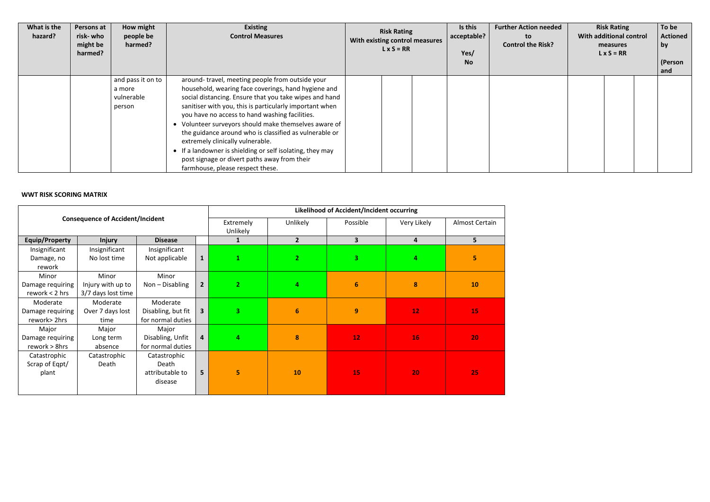| What is the<br>hazard? | Persons at<br>risk- who<br>might be<br>harmed? | How might<br>people be<br>harmed?                   | <b>Existing</b><br><b>Control Measures</b>                                                                                                                                                                                                                                                                                                                                                                                                                                                                                                                                            | <b>Risk Rating</b><br>With existing control measures<br>$L \times S = RR$ | Is this<br>acceptable?<br>Yes/<br><b>No</b> | <b>Further Action needed</b><br>to<br><b>Control the Risk?</b> | <b>Risk Rating</b><br>With additional control<br>measures<br>$L \times S = RR$ |  | To be<br><b>Actioned</b><br>  by<br>(Person<br>and |
|------------------------|------------------------------------------------|-----------------------------------------------------|---------------------------------------------------------------------------------------------------------------------------------------------------------------------------------------------------------------------------------------------------------------------------------------------------------------------------------------------------------------------------------------------------------------------------------------------------------------------------------------------------------------------------------------------------------------------------------------|---------------------------------------------------------------------------|---------------------------------------------|----------------------------------------------------------------|--------------------------------------------------------------------------------|--|----------------------------------------------------|
|                        |                                                | and pass it on to<br>a more<br>vulnerable<br>person | around-travel, meeting people from outside your<br>household, wearing face coverings, hand hygiene and<br>social distancing. Ensure that you take wipes and hand<br>sanitiser with you, this is particularly important when<br>you have no access to hand washing facilities.<br>• Volunteer surveyors should make themselves aware of<br>the guidance around who is classified as vulnerable or<br>extremely clinically vulnerable.<br>• If a landowner is shielding or self isolating, they may<br>post signage or divert paths away from their<br>farmhouse, please respect these. |                                                                           |                                             |                                                                |                                                                                |  |                                                    |

# **WWT RISK SCORING MATRIX**

|                       |                                         |                    |                         | Likelihood of Accident/Incident occurring |                 |                |             |                |  |  |  |  |
|-----------------------|-----------------------------------------|--------------------|-------------------------|-------------------------------------------|-----------------|----------------|-------------|----------------|--|--|--|--|
|                       | <b>Consequence of Accident/Incident</b> |                    |                         | Extremely<br>Unlikely                     | <b>Unlikely</b> | Possible       | Very Likely | Almost Certain |  |  |  |  |
| <b>Equip/Property</b> | <b>Injury</b>                           | <b>Disease</b>     |                         | $\mathbf{1}$                              | $2^{\circ}$     | 3 <sup>1</sup> | 4           | 5              |  |  |  |  |
| Insignificant         | Insignificant                           | Insignificant      |                         |                                           |                 |                |             |                |  |  |  |  |
| Damage, no            | No lost time                            | Not applicable     | $\mathbf{1}$            | 1                                         | $\overline{2}$  | 3.             | 4           | 5              |  |  |  |  |
| rework                |                                         |                    |                         |                                           |                 |                |             |                |  |  |  |  |
| Minor                 | Minor                                   | Minor              |                         |                                           |                 |                |             |                |  |  |  |  |
| Damage requiring      | Injury with up to                       | $Non - Disabling$  | $\overline{2}$          | $\overline{2}$                            | 4               | 6              | 8           | 10             |  |  |  |  |
| rework $<$ 2 hrs      | 3/7 days lost time                      |                    |                         |                                           |                 |                |             |                |  |  |  |  |
| Moderate              | Moderate                                | Moderate           |                         |                                           |                 |                |             |                |  |  |  |  |
| Damage requiring      | Over 7 days lost                        | Disabling, but fit | $\overline{\mathbf{3}}$ | 3 <sup>1</sup>                            | 6               | 9              | 12          | 15             |  |  |  |  |
| rework>2hrs           | time                                    | for normal duties  |                         |                                           |                 |                |             |                |  |  |  |  |
| Major                 | Major                                   | Major              |                         |                                           |                 |                |             |                |  |  |  |  |
| Damage requiring      | Long term                               | Disabling, Unfit   | $\overline{\mathbf{4}}$ | 4                                         | 8               | 12             | 16          | 20             |  |  |  |  |
| rework > 8hrs         | absence                                 | for normal duties  |                         |                                           |                 |                |             |                |  |  |  |  |
| Catastrophic          | Catastrophic                            | Catastrophic       |                         |                                           |                 |                |             |                |  |  |  |  |
| Scrap of Eqpt/        | Death                                   | Death              |                         |                                           |                 |                |             |                |  |  |  |  |
| plant                 |                                         | attributable to    | 5 <sup>1</sup>          | 5                                         | 10              | 15             | 20          | 25             |  |  |  |  |
|                       |                                         | disease            |                         |                                           |                 |                |             |                |  |  |  |  |
|                       |                                         |                    |                         |                                           |                 |                |             |                |  |  |  |  |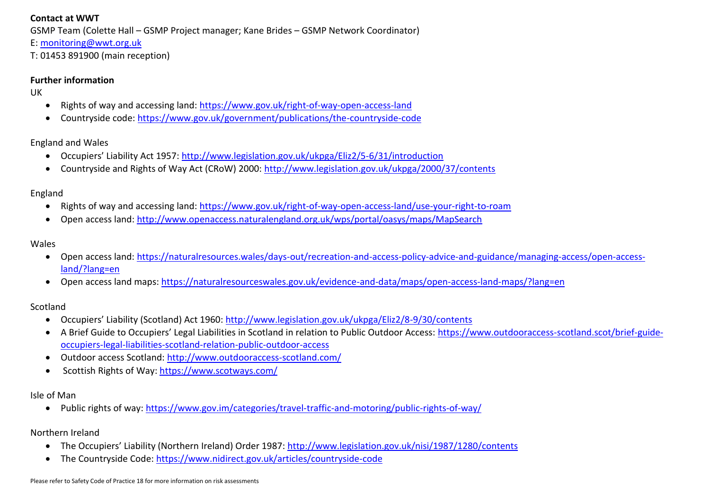### **Contact at WWT**

GSMP Team (Colette Hall – GSMP Project manager; Kane Brides – GSMP Network Coordinator)

- E: [monitoring@wwt.org.uk](mailto:monitoring@wwt.org.uk)
- T: 01453 891900 (main reception)

### **Further information**

UK

- Rights of way and accessing land:<https://www.gov.uk/right-of-way-open-access-land>
- Countryside code:<https://www.gov.uk/government/publications/the-countryside-code>

England and Wales

- Occupiers' Liability Act 1957: <http://www.legislation.gov.uk/ukpga/Eliz2/5-6/31/introduction>
- Countryside and Rights of Way Act (CRoW) 2000:<http://www.legislation.gov.uk/ukpga/2000/37/contents>

## England

- Rights of way and accessing land:<https://www.gov.uk/right-of-way-open-access-land/use-your-right-to-roam>
- Open access land:<http://www.openaccess.naturalengland.org.uk/wps/portal/oasys/maps/MapSearch>

### Wales

- Open access land: [https://naturalresources.wales/days-out/recreation-and-access-policy-advice-and-guidance/managing-access/open-access](https://naturalresources.wales/days-out/recreation-and-access-policy-advice-and-guidance/managing-access/open-access-land/?lang=en)[land/?lang=en](https://naturalresources.wales/days-out/recreation-and-access-policy-advice-and-guidance/managing-access/open-access-land/?lang=en)
- Open access land maps:<https://naturalresourceswales.gov.uk/evidence-and-data/maps/open-access-land-maps/?lang=en>

## Scotland

- Occupiers' Liability (Scotland) Act 1960: <http://www.legislation.gov.uk/ukpga/Eliz2/8-9/30/contents>
- A Brief Guide to Occupiers' Legal Liabilities in Scotland in relation to Public Outdoor Access: [https://www.outdooraccess-scotland.scot/brief-guide](https://www.outdooraccess-scotland.scot/brief-guide-occupiers-legal-liabilities-scotland-relation-public-outdoor-access)[occupiers-legal-liabilities-scotland-relation-public-outdoor-access](https://www.outdooraccess-scotland.scot/brief-guide-occupiers-legal-liabilities-scotland-relation-public-outdoor-access)
- Outdoor access Scotland:<http://www.outdooraccess-scotland.com/>
- Scottish Rights of Way:<https://www.scotways.com/>

## Isle of Man

• Public rights of way:<https://www.gov.im/categories/travel-traffic-and-motoring/public-rights-of-way/>

## Northern Ireland

- The Occupiers' Liability (Northern Ireland) Order 1987: <http://www.legislation.gov.uk/nisi/1987/1280/contents>
- The Countryside Code:<https://www.nidirect.gov.uk/articles/countryside-code>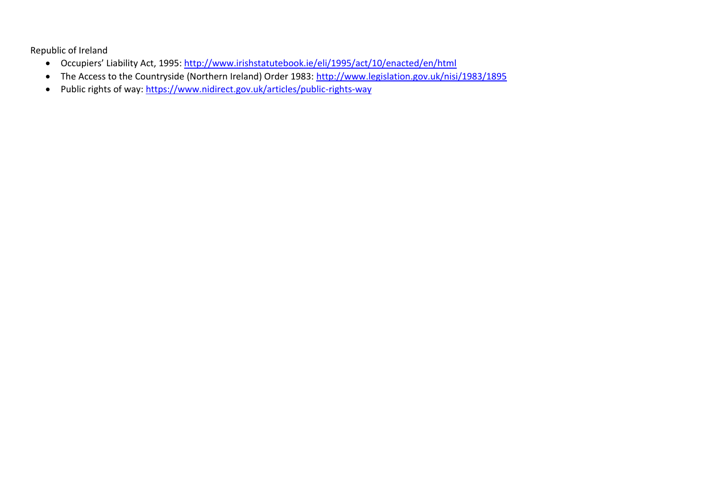Republic of Ireland

- Occupiers' Liability Act, 1995:<http://www.irishstatutebook.ie/eli/1995/act/10/enacted/en/html>
- The Access to the Countryside (Northern Ireland) Order 1983:<http://www.legislation.gov.uk/nisi/1983/1895>
- Public rights of way:<https://www.nidirect.gov.uk/articles/public-rights-way>